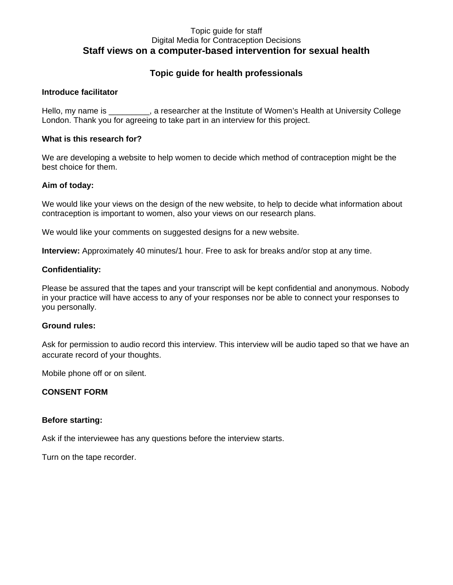### Topic guide for staff Digital Media for Contraception Decisions **Staff views on a computer-based intervention for sexual health**

## **Topic guide for health professionals**

### **Introduce facilitator**

Hello, my name is example are searcher at the Institute of Women's Health at University College London. Thank you for agreeing to take part in an interview for this project.

### **What is this research for?**

We are developing a website to help women to decide which method of contraception might be the best choice for them.

### **Aim of today:**

We would like your views on the design of the new website, to help to decide what information about contraception is important to women, also your views on our research plans.

We would like your comments on suggested designs for a new website.

**Interview:** Approximately 40 minutes/1 hour. Free to ask for breaks and/or stop at any time.

### **Confidentiality:**

Please be assured that the tapes and your transcript will be kept confidential and anonymous. Nobody in your practice will have access to any of your responses nor be able to connect your responses to you personally.

#### **Ground rules:**

Ask for permission to audio record this interview. This interview will be audio taped so that we have an accurate record of your thoughts.

Mobile phone off or on silent.

### **CONSENT FORM**

### **Before starting:**

Ask if the interviewee has any questions before the interview starts.

Turn on the tape recorder.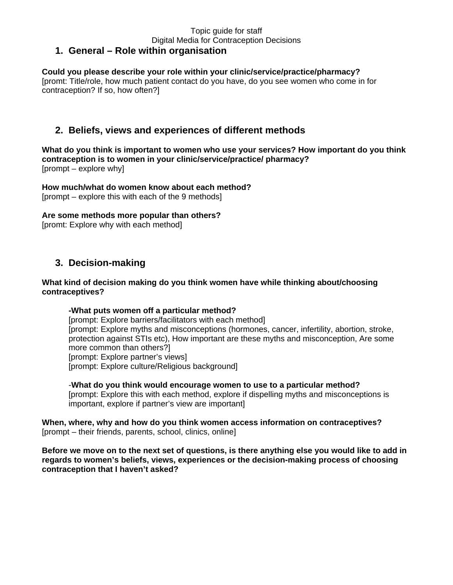#### Topic guide for staff Digital Media for Contraception Decisions **1. General – Role within organisation**

#### **Could you please describe your role within your clinic/service/practice/pharmacy?** [promt: Title/role, how much patient contact do you have, do you see women who come in for contraception? If so, how often?]

# **2. Beliefs, views and experiences of different methods**

**What do you think is important to women who use your services? How important do you think contraception is to women in your clinic/service/practice/ pharmacy?** [prompt – explore why]

**How much/what do women know about each method?**  [prompt – explore this with each of the 9 methods]

**Are some methods more popular than others?** 

[promt: Explore why with each method]

# **3. Decision-making**

### **What kind of decision making do you think women have while thinking about/choosing contraceptives?**

### **-What puts women off a particular method?**

[prompt: Explore barriers/facilitators with each method] [prompt: Explore myths and misconceptions (hormones, cancer, infertility, abortion, stroke, protection against STIs etc), How important are these myths and misconception, Are some more common than others?] [prompt: Explore partner's views] [prompt: Explore culture/Religious background]

-**What do you think would encourage women to use to a particular method?** [prompt: Explore this with each method, explore if dispelling myths and misconceptions is important, explore if partner's view are important]

**When, where, why and how do you think women access information on contraceptives?** [prompt – their friends, parents, school, clinics, online]

**Before we move on to the next set of questions, is there anything else you would like to add in regards to women's beliefs, views, experiences or the decision-making process of choosing contraception that I haven't asked?**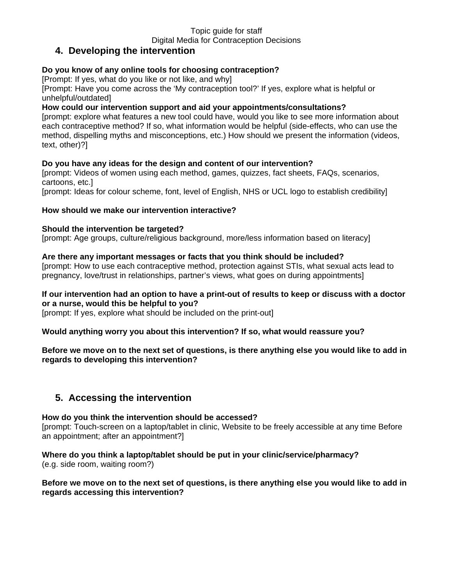#### Topic guide for staff Digital Media for Contraception Decisions

# **4. Developing the intervention**

### **Do you know of any online tools for choosing contraception?**

[Prompt: If yes, what do you like or not like, and why]

[Prompt: Have you come across the 'My contraception tool?' If yes, explore what is helpful or unhelpful/outdated]

### **How could our intervention support and aid your appointments/consultations?**

[prompt: explore what features a new tool could have, would you like to see more information about each contraceptive method? If so, what information would be helpful (side-effects, who can use the method, dispelling myths and misconceptions, etc.) How should we present the information (videos, text, other)?]

### **Do you have any ideas for the design and content of our intervention?**

[prompt: Videos of women using each method, games, quizzes, fact sheets, FAQs, scenarios, cartoons, etc.]

[prompt: Ideas for colour scheme, font, level of English, NHS or UCL logo to establish credibility]

### **How should we make our intervention interactive?**

### **Should the intervention be targeted?**

[prompt: Age groups, culture/religious background, more/less information based on literacy]

### **Are there any important messages or facts that you think should be included?**

[prompt: How to use each contraceptive method, protection against STIs, what sexual acts lead to pregnancy, love/trust in relationships, partner's views, what goes on during appointments]

### **If our intervention had an option to have a print-out of results to keep or discuss with a doctor or a nurse, would this be helpful to you?**

[prompt: If yes, explore what should be included on the print-out]

### **Would anything worry you about this intervention? If so, what would reassure you?**

**Before we move on to the next set of questions, is there anything else you would like to add in regards to developing this intervention?**

# **5. Accessing the intervention**

### **How do you think the intervention should be accessed?**

[prompt: Touch-screen on a laptop/tablet in clinic, Website to be freely accessible at any time Before an appointment; after an appointment?]

**Where do you think a laptop/tablet should be put in your clinic/service/pharmacy?**  (e.g. side room, waiting room?)

### **Before we move on to the next set of questions, is there anything else you would like to add in regards accessing this intervention?**